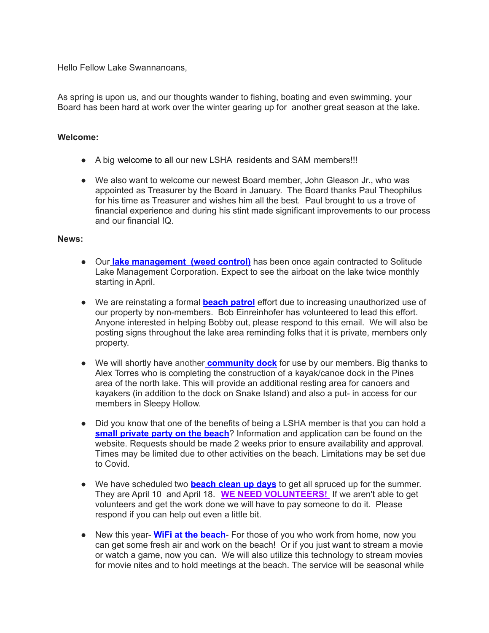Hello Fellow Lake Swannanoans,

As spring is upon us, and our thoughts wander to fishing, boating and even swimming, your Board has been hard at work over the winter gearing up for another great season at the lake.

## **Welcome:**

- A big welcome to all our new LSHA residents and SAM members!!!
- We also want to welcome our newest Board member, John Gleason Jr., who was appointed as Treasurer by the Board in January. The Board thanks Paul Theophilus for his time as Treasurer and wishes him all the best. Paul brought to us a trove of financial experience and during his stint made significant improvements to our process and our financial IQ.

## **News:**

- Our **lake management (weed control)** has been once again contracted to Solitude Lake Management Corporation. Expect to see the airboat on the lake twice monthly starting in April.
- We are reinstating a formal **beach patrol** effort due to increasing unauthorized use of our property by non-members. Bob Einreinhofer has volunteered to lead this effort. Anyone interested in helping Bobby out, please respond to this email. We will also be posting signs throughout the lake area reminding folks that it is private, members only property.
- We will shortly have another **community dock** for use by our members. Big thanks to Alex Torres who is completing the construction of a kayak/canoe dock in the Pines area of the north lake. This will provide an additional resting area for canoers and kayakers (in addition to the dock on Snake Island) and also a put- in access for our members in Sleepy Hollow.
- Did you know that one of the benefits of being a LSHA member is that you can hold a **small private party on the beach**? Information and application can be found on the website. Requests should be made 2 weeks prior to ensure availability and approval. Times may be limited due to other activities on the beach. Limitations may be set due to Covid.
- We have scheduled two **beach clean up days** to get all spruced up for the summer. They are April 10 and April 18. **WE NEED VOLUNTEERS!** If we aren't able to get volunteers and get the work done we will have to pay someone to do it. Please respond if you can help out even a little bit.
- New this year- **WiFi at the beach** For those of you who work from home, now you can get some fresh air and work on the beach! Or if you just want to stream a movie or watch a game, now you can. We will also utilize this technology to stream movies for movie nites and to hold meetings at the beach. The service will be seasonal while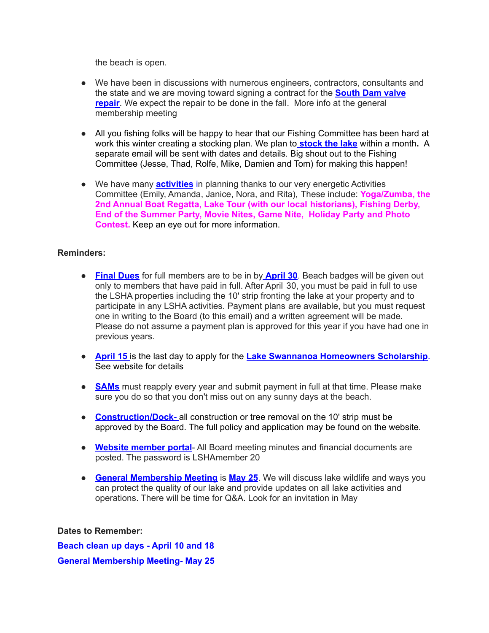the beach is open.

- We have been in discussions with numerous engineers, contractors, consultants and the state and we are moving toward signing a contract for the **South Dam valve repair.** We expect the repair to be done in the fall. More info at the general membership meeting
- All you fishing folks will be happy to hear that our Fishing Committee has been hard at work this winter creating a stocking plan. We plan to **stock the lake** within a month**.** A separate email will be sent with dates and details. Big shout out to the Fishing Committee (Jesse, Thad, Rolfe, Mike, Damien and Tom) for making this happen!
- We have many **activities** in planning thanks to our very energetic Activities Committee (Emily, Amanda, Janice, Nora, and Rita), These include: **Yoga/Zumba, the 2nd Annual Boat Regatta, Lake Tour (with our local historians), Fishing Derby, End of the Summer Party, Movie Nites, Game Nite, Holiday Party and Photo Contest.** Keep an eye out for more information.

## **Reminders:**

- **Final Dues** for full members are to be in by **April 30**. Beach badges will be given out only to members that have paid in full. After April 30, you must be paid in full to use the LSHA properties including the 10' strip fronting the lake at your property and to participate in any LSHA activities. Payment plans are available, but you must request one in writing to the Board (to this email) and a written agreement will be made. Please do not assume a payment plan is approved for this year if you have had one in previous years.
- **April 15** is the last day to apply for the **Lake Swannanoa Homeowners Scholarship**. See website for details
- **SAMs** must reapply every year and submit payment in full at that time. Please make sure you do so that you don't miss out on any sunny days at the beach.
- **Construction/Dock-** all construction or tree removal on the 10' strip must be approved by the Board. The full policy and application may be found on the website.
- **Website member portal** All Board meeting minutes and financial documents are posted. The password is LSHAmember 20
- **General Membership Meeting** is **May 25**. We will discuss lake wildlife and ways you can protect the quality of our lake and provide updates on all lake activities and operations. There will be time for Q&A. Look for an invitation in May

## **Dates to Remember:**

**Beach clean up days - April 10 and 18 General Membership Meeting- May 25**